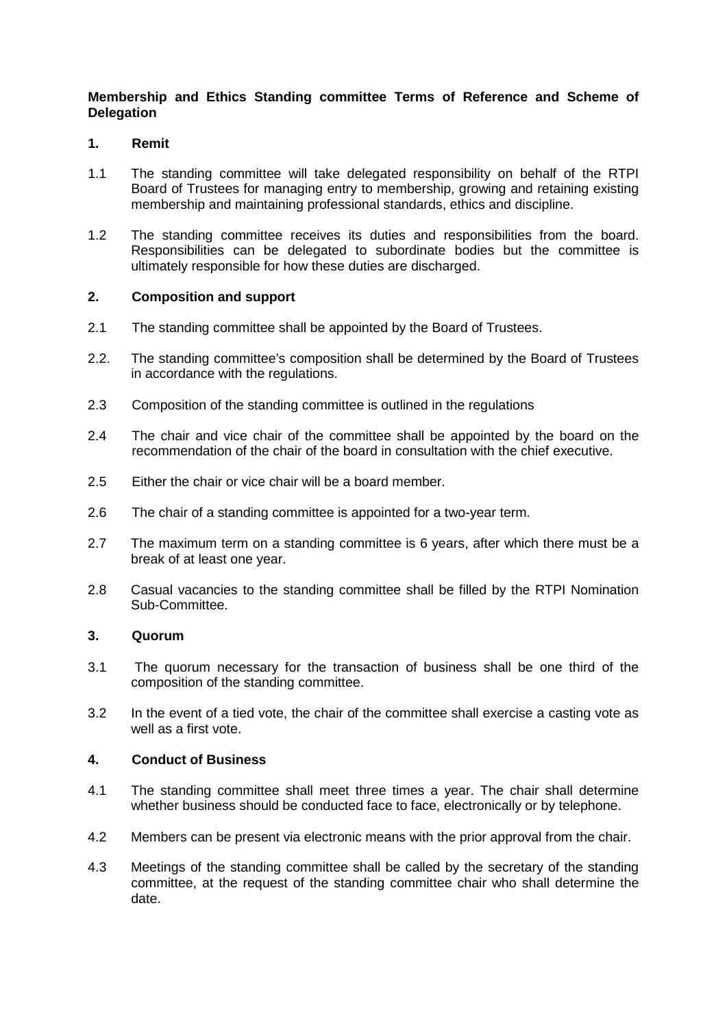# **Membership and Ethics Standing committee Terms of Reference and Scheme of Delegation**

## **1. Remit**

- 1.1 The standing committee will take delegated responsibility on behalf of the RTPI Board of Trustees for managing entry to membership, growing and retaining existing membership and maintaining professional standards, ethics and discipline.
- 1.2 The standing committee receives its duties and responsibilities from the board. Responsibilities can be delegated to subordinate bodies but the committee is ultimately responsible for how these duties are discharged.

## **2. Composition and support**

- 2.1 The standing committee shall be appointed by the Board of Trustees.
- 2.2. The standing committee's composition shall be determined by the Board of Trustees in accordance with the regulations.
- 2.3 Composition of the standing committee is outlined in the regulations
- 2.4 The chair and vice chair of the committee shall be appointed by the board on the recommendation of the chair of the board in consultation with the chief executive.
- 2.5 Either the chair or vice chair will be a board member.
- 2.6 The chair of a standing committee is appointed for a two-year term.
- 2.7 The maximum term on a standing committee is 6 years, after which there must be a break of at least one year.
- 2.8 Casual vacancies to the standing committee shall be filled by the RTPI Nomination Sub-Committee.

## **3. Quorum**

- 3.1 The quorum necessary for the transaction of business shall be one third of the composition of the standing committee.
- 3.2 In the event of a tied vote, the chair of the committee shall exercise a casting vote as well as a first vote.

#### **4. Conduct of Business**

- 4.1 The standing committee shall meet three times a year. The chair shall determine whether business should be conducted face to face, electronically or by telephone.
- 4.2 Members can be present via electronic means with the prior approval from the chair.
- 4.3 Meetings of the standing committee shall be called by the secretary of the standing committee, at the request of the standing committee chair who shall determine the date.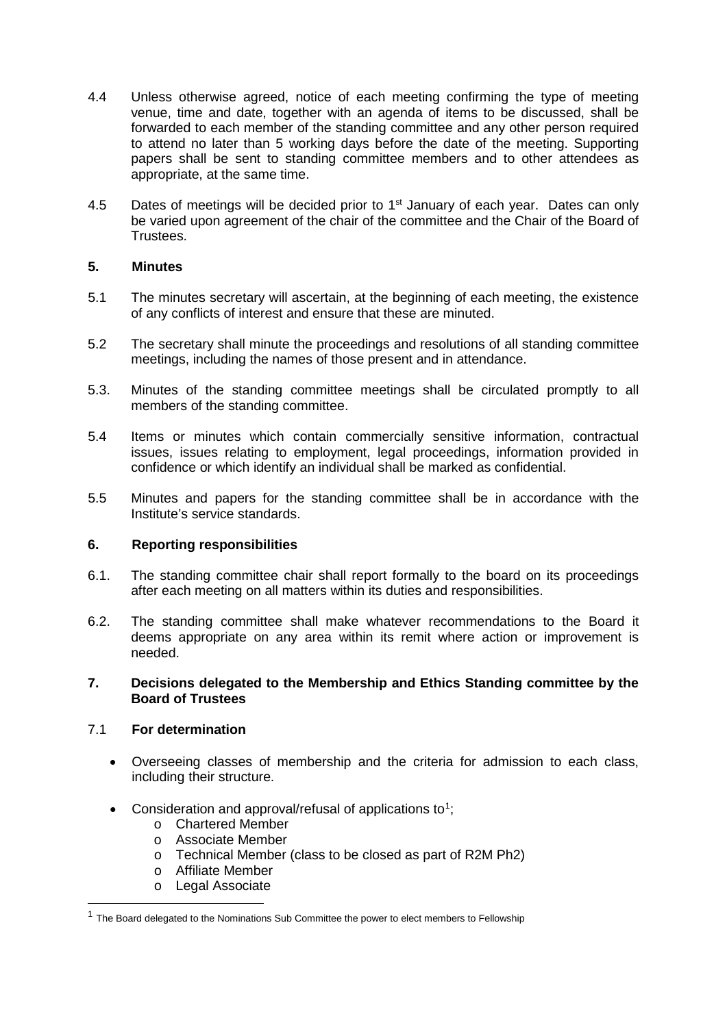- 4.4 Unless otherwise agreed, notice of each meeting confirming the type of meeting venue, time and date, together with an agenda of items to be discussed, shall be forwarded to each member of the standing committee and any other person required to attend no later than 5 working days before the date of the meeting. Supporting papers shall be sent to standing committee members and to other attendees as appropriate, at the same time.
- 4.5 Dates of meetings will be decided prior to 1<sup>st</sup> January of each year. Dates can only be varied upon agreement of the chair of the committee and the Chair of the Board of Trustees.

## **5. Minutes**

- 5.1 The minutes secretary will ascertain, at the beginning of each meeting, the existence of any conflicts of interest and ensure that these are minuted.
- 5.2 The secretary shall minute the proceedings and resolutions of all standing committee meetings, including the names of those present and in attendance.
- 5.3. Minutes of the standing committee meetings shall be circulated promptly to all members of the standing committee.
- 5.4 Items or minutes which contain commercially sensitive information, contractual issues, issues relating to employment, legal proceedings, information provided in confidence or which identify an individual shall be marked as confidential.
- 5.5 Minutes and papers for the standing committee shall be in accordance with the Institute's service standards.

## **6. Reporting responsibilities**

- 6.1. The standing committee chair shall report formally to the board on its proceedings after each meeting on all matters within its duties and responsibilities.
- 6.2. The standing committee shall make whatever recommendations to the Board it deems appropriate on any area within its remit where action or improvement is needed.

## **7. Decisions delegated to the Membership and Ethics Standing committee by the Board of Trustees**

#### 7.1 **For determination**

- Overseeing classes of membership and the criteria for admission to each class, including their structure.
- Consideration and approval/refusal of applications to<sup>[1](#page-1-0)</sup>;
	- o Chartered Member
	- o Associate Member<br>
	o Technical Member
	- o Technical Member (class to be closed as part of R2M Ph2)<br>  $\circ$  Affiliate Member
	- Affiliate Member
	- o Legal Associate

<span id="page-1-0"></span> $<sup>1</sup>$  The Board delegated to the Nominations Sub Committee the power to elect members to Fellowship</sup>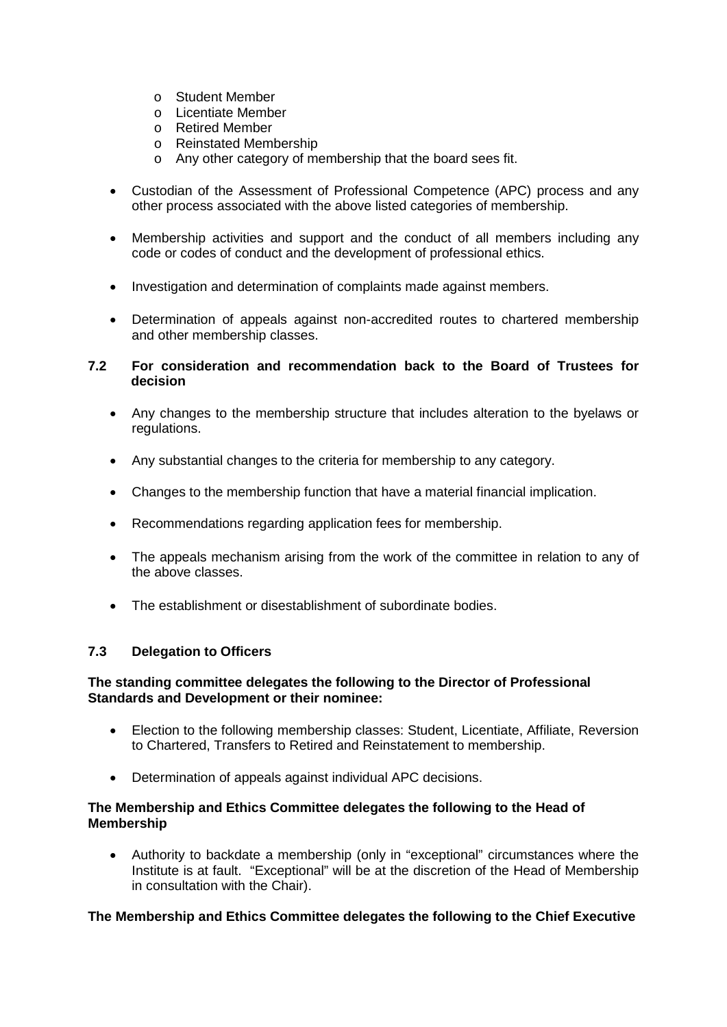- o Student Member
- o Licentiate Member
- o Retired Member
- o Reinstated Membership
- o Any other category of membership that the board sees fit.
- Custodian of the Assessment of Professional Competence (APC) process and any other process associated with the above listed categories of membership.
- Membership activities and support and the conduct of all members including any code or codes of conduct and the development of professional ethics.
- Investigation and determination of complaints made against members.
- Determination of appeals against non-accredited routes to chartered membership and other membership classes.

## **7.2 For consideration and recommendation back to the Board of Trustees for decision**

- Any changes to the membership structure that includes alteration to the byelaws or regulations.
- Any substantial changes to the criteria for membership to any category.
- Changes to the membership function that have a material financial implication.
- Recommendations regarding application fees for membership.
- The appeals mechanism arising from the work of the committee in relation to any of the above classes.
- The establishment or disestablishment of subordinate bodies.

#### **7.3 Delegation to Officers**

## **The standing committee delegates the following to the Director of Professional Standards and Development or their nominee:**

- Election to the following membership classes: Student, Licentiate, Affiliate, Reversion to Chartered, Transfers to Retired and Reinstatement to membership.
- Determination of appeals against individual APC decisions.

## **The Membership and Ethics Committee delegates the following to the Head of Membership**

• Authority to backdate a membership (only in "exceptional" circumstances where the Institute is at fault. "Exceptional" will be at the discretion of the Head of Membership in consultation with the Chair).

#### **The Membership and Ethics Committee delegates the following to the Chief Executive**